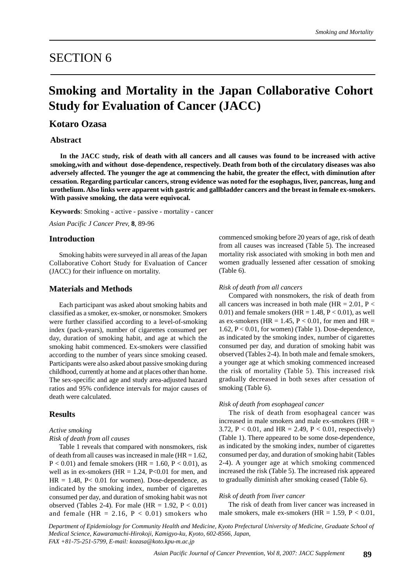# SECTION 6

# **Smoking and Mortality in the Japan Collaborative Cohort Study for Evaluation of Cancer (JACC)**

# **Kotaro Ozasa**

# **Abstract**

**In the JACC study, risk of death with all cancers and all causes was found to be increased with active smoking,with and without dose-dependence, respectively. Death from both of the circulatory diseases was also adversely affected. The younger the age at commencing the habit, the greater the effect, with diminution after cessation. Regarding particular cancers, strong evidence was noted for the esophagus, liver, pancreas, lung and urothelium. Also links were apparent with gastric and gallbladder cancers and the breast in female ex-smokers. With passive smoking, the data were equivocal.**

**Keywords**: Smoking - active - passive - mortality - cancer

*Asian Pacific J Cancer Prev,* **8**, 89-96

# **Introduction**

Smoking habits were surveyed in all areas of the Japan Collaborative Cohort Study for Evaluation of Cancer (JACC) for their influence on mortality.

## **Materials and Methods**

Each participant was asked about smoking habits and classified as a smoker, ex-smoker, or nonsmoker. Smokers were further classified according to a level-of-smoking index (pack-years), number of cigarettes consumed per day, duration of smoking habit, and age at which the smoking habit commenced. Ex-smokers were classified according to the number of years since smoking ceased. Participants were also asked about passive smoking during childhood, currently at home and at places other than home. The sex-specific and age and study area-adjusted hazard ratios and 95% confidence intervals for major causes of death were calculated.

# **Results**

### *Active smoking*

#### *Risk of death from all causes*

Table 1 reveals that compared with nonsmokers, risk of death from all causes was increased in male ( $HR = 1.62$ ,  $P < 0.01$ ) and female smokers (HR = 1.60, P < 0.01), as well as in ex-smokers ( $HR = 1.24$ ,  $P < 0.01$  for men, and  $HR = 1.48$ ,  $P < 0.01$  for women). Dose-dependence, as indicated by the smoking index, number of cigarettes consumed per day, and duration of smoking habit was not observed (Tables 2-4). For male (HR =  $1.92$ , P <  $0.01$ ) and female (HR = 2.16,  $P < 0.01$ ) smokers who

commenced smoking before 20 years of age, risk of death from all causes was increased (Table 5). The increased mortality risk associated with smoking in both men and women gradually lessened after cessation of smoking (Table 6).

#### *Risk of death from all cancers*

Compared with nonsmokers, the risk of death from all cancers was increased in both male (HR =  $2.01$ , P < 0.01) and female smokers ( $HR = 1.48$ ,  $P < 0.01$ ), as well as ex-smokers (HR = 1.45,  $P < 0.01$ , for men and HR = 1.62,  $P < 0.01$ , for women) (Table 1). Dose-dependence, as indicated by the smoking index, number of cigarettes consumed per day, and duration of smoking habit was observed (Tables 2-4). In both male and female smokers, a younger age at which smoking commenced increased the risk of mortality (Table 5). This increased risk gradually decreased in both sexes after cessation of smoking (Table 6).

## *Risk of death from esophageal cancer*

The risk of death from esophageal cancer was increased in male smokers and male ex-smokers (HR = 3.72,  $P < 0.01$ , and HR = 2.49,  $P < 0.01$ , respectively) (Table 1). There appeared to be some dose-dependence, as indicated by the smoking index, number of cigarettes consumed per day, and duration of smoking habit (Tables 2-4). A younger age at which smoking commenced increased the risk (Table 5). The increased risk appeared to gradually diminish after smoking ceased (Table 6).

#### *Risk of death from liver cancer*

 The risk of death from liver cancer was increased in male smokers, male ex-smokers (HR =  $1.59$ , P < 0.01,

*Department of Epidemiology for Community Health and Medicine, Kyoto Prefectural University of Medicine, Graduate School of Medical Science, Kawaramachi-Hirokoji, Kamigyo-ku, Kyoto, 602-8566, Japan, FAX +81-75-251-5799, E-mail: kozasa@koto.kpu-m.ac.jp*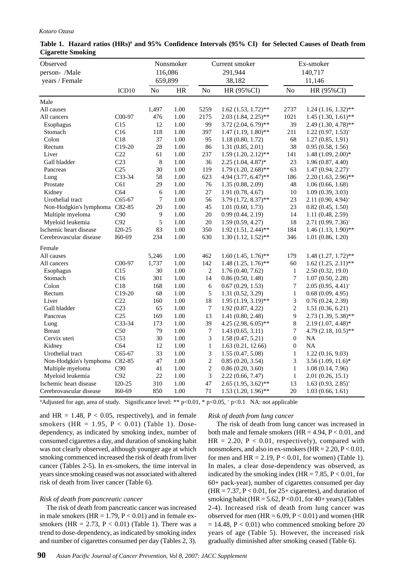#### *Kotaro Ozasa*

| Observed                        |                   |                    | Nonsmoker |                  | Current smoker           |                  | Ex-smoker                       |
|---------------------------------|-------------------|--------------------|-----------|------------------|--------------------------|------------------|---------------------------------|
| person- /Male<br>years / Female |                   | 116,086<br>659,899 |           |                  | 291,944<br>38,182        |                  | 140,717<br>11,146               |
|                                 |                   |                    |           |                  |                          |                  |                                 |
|                                 | ICD <sub>10</sub> | No                 | $\rm{HR}$ | $\rm No$         | HR (95%CI)               | N <sub>o</sub>   | HR (95%CI)                      |
| Male                            |                   |                    |           |                  |                          |                  |                                 |
| All causes                      |                   | 1,497              | 1.00      | 5259             | $1.62$ (1.53, 1.72)**    | 2737             | $1.24(1.16, 1.32)$ **           |
| All cancers                     | C00-97            | 476                | 1.00      | 2175             | $2.03(1.84, 2.25)$ **    | 1021             | $1.45(1.30, 1.61)$ **           |
| Esophagus                       | C15               | 12                 | 1.00      | 99               | $3.72(2.04, 6.79)$ **    | 39               | $2.49(1.30, 4.78)$ **           |
| Stomach                         | C16               | 118                | 1.00      | 397              | $1.47(1.19, 1.80)$ **    | 211              | $1.22(0.97, 1.53)^{*}$          |
| Colon                           | C18               | 37                 | 1.00      | 95               | 1.18(0.80, 1.72)         | 68               | 1.27(0.85, 1.91)                |
| Rectum                          | $C19-20$          | $28\,$             | 1.00      | 86               | 1.31(0.85, 2.01)         | 38               | 0.95(0.58, 1.56)                |
| Liver                           | C <sub>22</sub>   | 61                 | 1.00      | 237              | $1.59(1.20, 2.12)$ **    | 141              | $1.48$ $(1.09, 2.00)$ *         |
| Gall bladder                    | C <sub>23</sub>   | 8                  | 1.00      | 36               | $2.25(1.04, 4.87)^*$     | 23               | 1.96(0.87, 4.40)                |
| Pancreas                        | C <sub>25</sub>   | 30                 | 1.00      | 119              | $1.79$ $(1.20, 2.68)$ ** | 63               | $1.47(0.94, 2.27)^{*}$          |
| Lung                            | C33-34            | 58                 | 1.00      | 623              | 4.94 (3.77, 6.47)**      | 186              | $2.20(1.63, 2.96)$ **           |
| Prostate                        | C61               | 29                 | 1.00      | 76               | 1.35(0.88, 2.09)         | 48               | 1.06(0.66, 1.68)                |
| Kidney                          | C64               | 6                  | 1.00      | $27\,$           | 1.91(0.78, 4.67)         | 10               | 1.09(0.39, 3.03)                |
| Urothelial tract                | C65-67            | 7                  | 1.00      | 56               | $3.79(1.72, 8.37)$ **    | 23               | $2.11(0.90, 4.94)$ <sup>+</sup> |
| Non-Hodgkin's lymphoma C82-85   |                   | $20\,$             | 1.00      | 45               | 1.01(0.60, 1.73)         | 23               | 0.82(0.45, 1.50)                |
| Multiple myeloma                | C90               | $\overline{9}$     | 1.00      | 20               | 0.99(0.44, 2.19)         | 14               | 1.11 (0.48, 2.59)               |
| Myeloid leukemia                | C92               | 5                  | 1.00      | 20               | 1.59(0.59, 4.27)         | 18               | $2.71(0.99, 7.36)^{*}$          |
| Ischemic heart disease          | $I20-25$          | 83                 | 1.00      | 350              | $1.92(1.51, 2.44)$ **    | 184              | $1.46(1.13, 1.90)$ **           |
| Cerebrovascular disease         | I60-69            | 234                | 1.00      | 630              | $1.30(1.12, 1.52)$ **    | 346              | 1.01(0.86, 1.20)                |
| Female                          |                   |                    |           |                  |                          |                  |                                 |
| All causes                      |                   | 5,246              | 1.00      | 462              | $1.60(1.45, 1.76)$ **    | 179              | $1.48(1.27, 1.72)$ **           |
| All cancers                     | C00-97            | 1,737              | 1.00      | 142              | $1.48(1.25, 1.76)$ **    | 60               | $1.62$ $(1.25, 2.11)$ **        |
| Esophagus                       | C15               | $30\,$             | 1.00      | $\sqrt{2}$       | 1.76(0.40, 7.62)         | $\mathbf{1}$     | 2.50(0.32, 19.0)                |
| Stomach                         | C16               | 301                | 1.00      | 14               | 0.86(0.50, 1.48)         | $\overline{7}$   | 1.07(0.50, 2.28)                |
| Colon                           | C18               | 168                | 1.00      | $\sqrt{6}$       | 0.67(0.29, 1.53)         | $\boldsymbol{7}$ | $2.05(0.95, 4.41)^{+}$          |
| Rectum                          | $C19-20$          | 68                 | 1.00      | $\sqrt{5}$       | 1.31(0.52, 3.29)         | $\mathbf{1}$     | 0.68(0.09, 4.95)                |
| Liver                           | C22               | 160                | 1.00      | 18               | $1.95(1.19, 3.19)$ **    | $\mathfrak{Z}$   | 0.76(0.24, 2.39)                |
| Gall bladder                    | C <sub>23</sub>   | 65                 | 1.00      | $\boldsymbol{7}$ | 1.92(0.87, 4.22)         | $\overline{2}$   | 1.51(0.36, 6.21)                |
| Pancreas                        | C <sub>25</sub>   | 169                | 1.00      | 13               | 1.41(0.80, 2.48)         | 9                | 2.73 (1.39, 5.38)**             |
| Lung                            | C33-34            | 173                | 1.00      | 39               | $4.25(2.98, 6.05)$ **    | $\,8$            | $2.19(1.07, 4.48)^*$            |
| <b>Breast</b>                   | C50               | 79                 | 1.00      | $\boldsymbol{7}$ | 1.43(0.65, 3.11)         | $\boldsymbol{7}$ | 4.79 (2.18, 10.5)**             |
| Cervix uteri                    | C <sub>53</sub>   | 30                 | 1.00      | $\mathfrak{Z}$   | 1.58(0.47, 5.21)         | $\boldsymbol{0}$ | NA                              |
| Kidney                          | C64               | 12                 | 1.00      | $\,1$            | 1.63(0.21, 12.66)        | $\boldsymbol{0}$ | NA                              |
| Urothelial tract                | $C65-67$          | 33                 | 1.00      | $\mathfrak{Z}$   | 1.55(0.47, 5.08)         | $\mathbf{1}$     | 1.22(0.16, 9.03)                |
| Non-Hodgkin's lymphoma C82-85   |                   | 47                 | 1.00      | $\sqrt{2}$       | 0.85(0.20, 3.54)         | $\overline{3}$   | $3.56(1.09, 11.6)^*$            |
| Multiple myeloma                | C90               | 41                 | 1.00      | $\sqrt{2}$       | 0.86(0.20, 3.60)         | $\mathbf{1}$     | 1.08(0.14, 7.96)                |
| Myeloid leukemia                | C92               | 22                 | 1.00      | $\mathfrak{Z}$   | 2.22(0.66, 7.47)         | $\mathbf{1}$     | 2.01(0.26, 15.1)                |
| Ischemic heart disease          | $I20-25$          | 310                | 1.00      | 47               | $2.65$ $(1.95, 3.62)$ ** | 13               | $1.63(0.93, 2.85)^+$            |
| Cerebrovascular disease         | I60-69            | 850                | 1.00      | 71               | $1.53(1.20, 1.96)$ **    | 20               | 1.03(0.66, 1.61)                |

## **Table 1. Hazard ratios (HRs)# and 95% Confidence Intervals (95% CI) for Selected Causes of Death from Cigarette Smoking**

# Adjusted for age, area of study. Significance level: \*\* p<0.01, \* p<0.05, + p<0.1 NA: not applicable

and HR = 1.48,  $P < 0.05$ , respectively), and in female smokers (HR =  $1.95$ , P < 0.01) (Table 1). Dosedependency, as indicated by smoking index, number of consumed cigarettes a day, and duration of smoking habit was not clearly observed, although younger age at which smoking commenced increased the risk of death from liver cancer (Tables 2-5). In ex-smokers, the time interval in years since smoking ceased was not associated with altered risk of death from liver cancer (Table 6).

# *Risk of death from pancreatic cancer*

 The risk of death from pancreatic cancer was increased in male smokers ( $HR = 1.79$ ,  $P < 0.01$ ) and in female exsmokers (HR =  $2.73$ , P < 0.01) (Table 1). There was a trend to dose-dependency, as indicated by smoking index and number of cigarettes consumed per day (Tables 2, 3).

## *Risk of death from lung cancer*

 The risk of death from lung cancer was increased in both male and female smokers ( $HR = 4.94, P < 0.01$ , and  $HR = 2.20$ ,  $P < 0.01$ , respectively), compared with nonsmokers, and also in ex-smokers  $(HR = 2.20, P < 0.01,$ for men and  $HR = 2.19$ ,  $P < 0.01$ , for women) (Table 1). In males, a clear dose-dependency was observed, as indicated by the smoking index (HR =  $7.85$ ,  $P < 0.01$ , for 60+ pack-year), number of cigarettes consumed per day  $(HR = 7.37, P < 0.01,$  for 25+ cigarettes), and duration of smoking habit (HR =  $5.62$ , P < 0.01, for 40+ years) (Tables 2-4). Increased risk of death from lung cancer was observed for men  $(HR = 6.09, P < 0.01)$  and women  $(HR)$  $= 14.48$ ,  $P < 0.01$ ) who commenced smoking before 20 years of age (Table 5). However, the increased risk gradually diminished after smoking ceased (Table 6).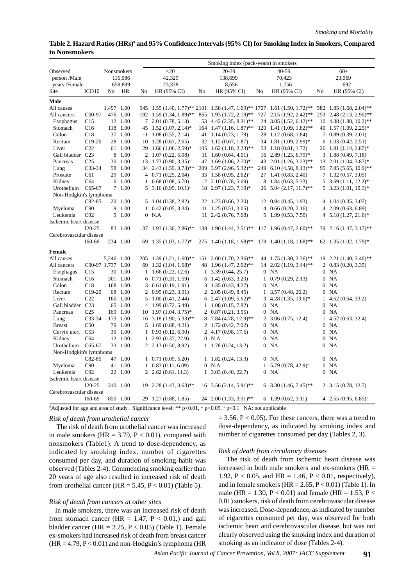## **Table 2. Hazard Ratios (HRs)# and 95% Confidence Intervals (95% CI) for Smoking Index in Smokers, Compared to Nonsmokers**

|                         |                     |                   |          |    |                                        |    | Smoking index (pack-years) in smokers                                     |              |                                      |    |                                        |
|-------------------------|---------------------|-------------------|----------|----|----------------------------------------|----|---------------------------------------------------------------------------|--------------|--------------------------------------|----|----------------------------------------|
| Observed                |                     | <b>Nonsmokers</b> |          |    | $<$ 20                                 |    | 20-39                                                                     |              | $40 - 59$                            |    | $60+$                                  |
| person /Male            |                     |                   | 116,086  |    | 42,329                                 |    | 138,699                                                                   |              | 70,423                               |    | 23,069                                 |
| -years /Female          |                     |                   | 659,899  |    | 23,338                                 |    | 8,656                                                                     |              | 1,756                                |    | 692                                    |
| Site                    | ICD <sub>10</sub>   | No                | HR       | No | HR (95% CI)                            | No | HR (95% CI)                                                               | No           | HR (95% CI)                          | No | HR (95% CI)                            |
| Male                    |                     |                   |          |    |                                        |    |                                                                           |              |                                      |    |                                        |
| All causes              |                     | 1,497 1.00        |          |    |                                        |    | 545 1.55 (1.40, 1.77)** 2101 1.58 (1.47, 1.69)** 1707 1.61 (1.50, 1.72)** |              |                                      |    | 582 1.85 (1.68, 2.04)**                |
| All cancers             | C <sub>0</sub> 0-97 |                   | 476 1.00 |    |                                        |    | 192 1.59 (1.34, 1.89)** 865 1.93 (1.72, 2.19)**                           |              | 727 2.15 (1.92, 2.42)**              |    | 253 2.48 (2.13, 2.90)**                |
| Esophagus               | C15                 |                   | 12 1.00  |    | $7\quad 2.01\ (0.78, 5.13)$            |    | 53 4.42 (2.35, 8.31)**                                                    |              | $24$ 3.05 (1.52, 6.12)**             |    | $10\quad 4.38\ (1.88, 10.2)$ **        |
| Stomach                 | C16                 |                   | 118 1.00 |    | 45 1.52 (1.07, 2.14)*                  |    | $164$ 1.47 (1.16, 1.87)**                                                 |              | $120$ 1.41 (1.09, 1.82)**            |    | 40 1.57 $(1.09, 2.25)^*$               |
| Colon                   | C18                 |                   | 37 1.00  |    | $11 \quad 1.08 \ (0.55, 2.14)$         |    | 41 1.14 (0.73, 1.79)                                                      |              | 28 1.12 (0.68, 1.84)                 |    | $7\quad0.89\ (0.39, 2.01)$             |
| Rectum                  | $C19-20$            |                   | 28 1.00  |    | $10\quad 1.28\ (0.61, 2.65)$           |    | 32 1.12 (0.67, 1.87)                                                      |              | 34 1.81 (1.09, 2.99)*                |    | $6\quad 1.03\ (0.42, 2.51)$            |
| Liver                   | C <sub>22</sub>     |                   | 61 1.00  |    | $29 \quad 1.66 \quad (1.06, 2.59)^*$   |    | $105 \quad 1.62 \ (1.18, 2.23)$ **                                        |              | 53 1.18 (0.81, 1.72)                 |    | 26 1.81 (1.14, 2.87)*                  |
| Gall bladder C23        |                     | 8                 | 1.00     |    | 2 1.07 (0.22, 5.08)                    |    | $11 \quad 1.60 \ (0.64, 4.01)$                                            |              | $16\quad 2.89\ (1.23, 6.79)^*$       |    | $3\quad1.88\ (0.49, 7.18)$             |
| Pancreas                | C <sub>25</sub>     |                   | 30 1.00  |    | $13 \quad 1.73 \quad (0.90, 3.35)^{+}$ |    | 47 1.69 $(1.06, 2.70)^*$                                                  |              | 43 2.01 (1.26, 3.23)**               |    | $13 \quad 2.01 \ (1.04, 3.87)^*$       |
| Lung                    | C33-34              |                   | 58 1.00  |    | $34$ 2.43 (1.59, 3.73)**               |    | 209 3.97 (2.96, 5.32)**                                                   |              | 249 6.10 (4.58, 8.13)**              |    | 95 7.85 (5.65, 10.9)**                 |
| Prostate                | C61                 |                   | 29 1.00  |    | $4\quad 0.71\ (0.25, 2.04)$            |    | $33 \quad 1.58 \ (0.95, 2.62)^+$                                          |              | 27 1.41 (0.83, 2.40)                 |    | $7\quad1.32\ (0.57, 3.05)$             |
| Kidney                  | C64                 |                   | 6 1.00   |    | $1\quad 0.68\ (0.08, 5.70)$            |    | $12 \quad 2.10 \quad (0.78, 5.69)$                                        |              | 8 1.84 (0.63, 5.33)                  |    | $5\,3.69\,(1.11, 12.2)^*$              |
| Urothelium              | $C65-67$            |                   | 7 1.00   |    | $5\quad 3.16\ (0.99, 10.1)^+$          |    | 18 2.97 (1.23, 7.19)*                                                     |              | 26 5.04 (2.17, 11.7)**               |    | $5\text{ }3.23\text{ } (1.01, 10.3)^*$ |
| Non-Hodgkin's lymphoma  |                     |                   |          |    |                                        |    |                                                                           |              |                                      |    |                                        |
|                         | C82-85              |                   | 20 1.00  |    | $5\quad 1.04\ (0.38, 2.82)$            |    | 22 1.23 (0.66, 2.30)                                                      |              | $12 \quad 0.94 \quad (0.45, 1.93)$   |    | $4\quad1.04\ (0.35, 3.07)$             |
| Myeloma                 | C90                 | 9                 | 1.00     |    | $1\quad 0.42\ (0.05, 3.34)$            |    | $11 \quad 1.25 \ (0.51, 3.05)$                                            |              | 4 $0.66(0.20, 2.16)$                 |    | $4\quad 2.09\ (0.63, 6.89)$            |
| Leukemia                | C92                 |                   | 5 1.00   |    | $0$ N.A                                |    | 11 2.42 (0.76, 7.68)                                                      |              | 5 1.99 (0.53, 7.50)                  |    | $4\quad 5.18\ (1.27, 21.0)^*$          |
| Ischemic heart disease  |                     |                   |          |    |                                        |    |                                                                           |              |                                      |    |                                        |
|                         | $I20-25$            |                   | 83 1.00  |    | $37 \quad 1.93 \quad (1.30, 2.86)$ **  |    | 138 1.90 (1.44, 2.51)**                                                   |              | $117 \quad 1.96 \ (0.47, 2.60)^{**}$ | 39 | $2.16(1.47, 3.17)$ **                  |
| Cerebrovascular disease |                     |                   |          |    |                                        |    |                                                                           |              |                                      |    |                                        |
|                         | $I60-69$            |                   | 234 1.00 | 69 | $1.35(1.03, 1.77)^*$                   |    | $275$ 1.40 (1.18, 1.68)** 179 1.40 (1.18, 1.68)**                         |              |                                      |    | 62 1.35 $(1.02, 1.79)^*$               |
| Female                  |                     |                   |          |    |                                        |    |                                                                           |              |                                      |    |                                        |
| All causes              |                     | 5,246 1.00        |          |    | $205$ 1.39 (1.21, 1.60)**              |    | $151 \quad 2.00 \ (1.70, 2.36)^{**}$                                      |              | 44 1.75 (1.30, 2.36)**               |    | $19 \quad 2.21 \quad (1.40, 3.46)$ **  |
| All cancers             | C00-97 1,737 1.00   |                   |          |    | 69 1.32 $(1.04, 1.68)^*$               |    | 48 1.96 (1.47, 2.62)**                                                    | 14           | $2.02(1.19, 3.44)$ **                | 2  | 0.83(0.20, 3.35)                       |
| Esophagus               | C15                 |                   | 30 1.00  |    | $1\quad1.66\ (0.22, 12.6)$             |    | $1\quad 3.39\ (0.44, 25.7)$                                               |              | $0$ NA                               |    | $0$ NA                                 |
| Stomach                 | C16                 |                   | 301 1.00 | 6  | 0.71(0.31, 1.59)                       |    | $6\quad 1.42\ (0.63, 3.20)$                                               | 1            | 0.79(0.29, 2.13)                     |    | $0$ NA                                 |
| Colon                   | C18                 |                   | 168 1.00 |    | $3$ 0.61 (0.19, 1.91)                  |    | $3\quad 1.35\ (0.43, 4.27)$                                               |              | $0$ NA                               |    | $0$ NA                                 |
| Rectum                  | $C19-20$            |                   | 68 1.00  |    | $2\quad 0.95\ (0.23, 3.91)$            |    | $2\;2.05\;(0.49, 8.45)$                                                   |              | $1\quad 3.57\ (0.48, 26.2)$          |    | $0$ NA                                 |
| Liver                   | C22                 |                   | 160 1.00 |    | $5\quad 1.00\ (0.41, 2.44)$            |    | $6\quad 2.47\ (1.09, 5.62)^*$                                             |              | $3\quad 4.28\ (1.35, 13.6)^*$        | 1  | 4.62(0.64, 33.2)                       |
| Gall bladder C23        |                     |                   | 65 1.00  |    | 4 1.99 (0.72, 5.49)                    |    | $1\quad1.08\ (0.15, 7.82)$                                                |              | $0$ NA                               |    | $0$ NA                                 |
| Pancreas                | C <sub>25</sub>     |                   | 169 1.00 |    | 10 1.97 (1.04, 3.75)*                  |    | $2\; 0.87\; (0.21, 3.55)$                                                 |              | $0$ NA                               |    | $0$ NA                                 |
| Lung                    | $C33-34$            |                   | 173 1.00 |    | $16$ 3.18 (1.90, 5.33)**               |    | 18 7.84 (4.78, 12.9)**                                                    |              | $2, 3.06$ (0.75, 12.4)               | 1  | 4.52(0.63, 32.4)                       |
| <b>Breast</b>           | C50                 |                   | 79 1.00  |    | 5 1.69 (0.68, 4.21)                    |    | 2 1.72 (0.42, 7.02)                                                       |              | $0$ NA                               |    | $0$ NA                                 |
| Cervix uteri C53        |                     |                   | 30 1.00  |    | $1\quad0.93\ (0.12, 6.90)$             |    | 2 4.17 (0.98, 17.6) <sup>+</sup>                                          |              | $0$ NA                               |    | $0$ NA                                 |
| Kidney                  | C64                 |                   | 12 1.00  |    | $1\quad 2.93\ (0.37, 22.9)$            |    | $0$ N.A                                                                   |              | $0$ NA                               |    | $0$ NA                                 |
| Urothelium              | $C65-67$            |                   | 33 1.00  |    | 2 2.13 (0.50, 8.92)                    |    | $1 \quad 1.78 \quad (0.24, 13.2)$                                         |              | $0$ NA                               |    | $0$ NA                                 |
| Non-Hodgkin's lymphoma  |                     |                   |          |    |                                        |    |                                                                           |              |                                      |    |                                        |
|                         | $C82-85$            |                   | 47 1.00  |    | $1\quad 0.71\ (0.09, 5.20)$            |    | $1\quad1.82\ (0.24, 13.3)$                                                |              | $0$ NA                               |    | $0$ NA                                 |
| Myeloma                 | C90                 |                   | 41 1.00  |    | $1\quad0.83\ (0.11, 6.09)$             |    | $0$ N.A                                                                   | $\mathbf{1}$ | $5.79(0.78, 42.9)^+$                 |    | $0$ NA                                 |
| Leukemia                | C92                 |                   | 22 1.00  |    | $2\; 2.62\; (0.61, 11.3)$              |    | $1\quad 3.03\ (0.40, 22.7)$                                               |              | $0$ NA                               |    | $0$ NA                                 |
| Ischemic heart disease  |                     |                   |          |    |                                        |    |                                                                           |              |                                      |    |                                        |
|                         | $I20-25$            |                   | 310 1.00 |    | $19 \quad 2.28 \quad (1.43, 3.63)$ **  |    | $16$ 3.56 (2.14, 5.91)**                                                  |              | $6\quad 3.30\ (1.46, 7.45)^{**}$     |    | $2, 3.15$ (0.78, 12.7)                 |
| Cerebrovascular disease |                     |                   |          |    |                                        |    |                                                                           |              |                                      |    |                                        |
|                         | $I60-69$            |                   | 850 1.00 |    | 29 1.27 (0.88, 1.85)                   |    | $24$ 2.00 (1.33, 3.01)**                                                  |              | $6$ 1.39 (0.62, 3.11)                |    | 4 2.55 $(0.95, 6.85)^+$                |
|                         |                     |                   |          |    |                                        |    |                                                                           |              |                                      |    |                                        |

# Adjusted for age and area of study. Significance level: \*\* p<0.01, \* p<0.05, + p<0.1 NA: not applicable

## *Risk of death from urothelial cancer*

 The risk of death from urothelial cancer was increased in male smokers (HR =  $3.79$ , P < 0.01), compared with nonsmokers (Table1). A trend to dose-dependency, as indicated by smoking index, number of cigarettes consumed per day, and duration of smoking habit was observed (Tables 2-4). Commencing smoking earlier than 20 years of age also resulted in increased risk of death from urothelial cancer (HR =  $5.45$ , P < 0.01) (Table 5).

### *Risk of death from cancers at other sites*

 In male smokers, there was an increased risk of death from stomach cancer (HR = 1.47,  $P < 0.01$ ,) and gall bladder cancer (HR =  $2.25$ , P < 0.05) (Table 1). Female ex-smokers had increased risk of death from breast cancer  $(HR = 4.79, P < 0.01)$  and non-Hodgkin's lymphoma (HR

 $= 3.56$ ,  $P < 0.05$ ). For these cancers, there was a trend to dose-dependency, as indicated by smoking index and number of cigarettes consumed per day (Tables 2, 3).

### *Risk of death from circulatory diseases*

 The risk of death from ischemic heart disease was increased in both male smokers and ex-smokers (HR = 1.92, P < 0.05, and HR = 1.46, P < 0.01, respectively), and in female smokers ( $HR = 2.65$ ,  $P < 0.01$ ) (Table 1). In male (HR = 1.30, P < 0.01) and female (HR = 1.53, P < 0.01) smokers, risk of death from cerebrovascular disease was increased. Dose-dependence, as indicated by number of cigarettes consumed per day, was observed for both ischemic heart and cerebrovascular disease, but was not clearly observed using the smoking index and duration of smoking as an indicator of dose (Tables 2-4).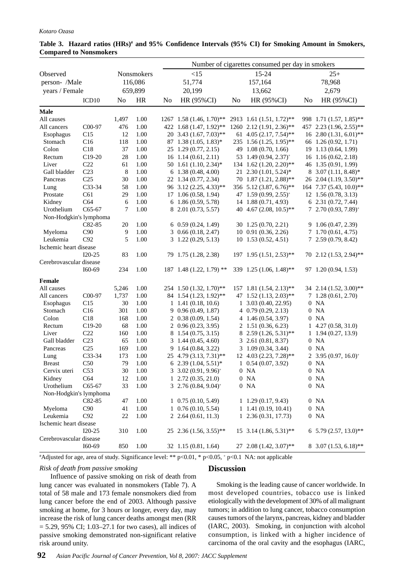|                         |                   | Number of cigarettes consumed per day in smokers |            |                |                               |    |                                       |    |                             |
|-------------------------|-------------------|--------------------------------------------------|------------|----------------|-------------------------------|----|---------------------------------------|----|-----------------------------|
| Observed                |                   |                                                  | Nonsmokers |                | <15                           |    | 15-24                                 |    | $25+$                       |
| person- /Male           |                   |                                                  | 116,086    |                | 51,774                        |    | 157,164                               |    | 78,968                      |
| years / Female          |                   |                                                  | 659,899    |                | 20,199                        |    | 13,662                                |    | 2,679                       |
|                         | ICD <sub>10</sub> | No                                               | <b>HR</b>  | N <sub>0</sub> | HR (95%CI)                    | No | HR (95%CI)                            | No | HR (95%CI)                  |
| <b>Male</b>             |                   |                                                  |            |                |                               |    |                                       |    |                             |
| All causes              |                   | 1,497                                            | 1.00       |                | $1267$ 1.58 (1.46, 1.70)**    |    | 2913 1.61 (1.51, 1.72)**              |    | 998 1.71 (1.57, 1.85)**     |
| All cancers             | C00-97            | 476                                              | 1.00       |                | 422 1.68 (1.47, 1.92)**       |    | 1260 2.12 (1.91, 2.36)**              |    | 457 2.23 (1.96, 2.55)**     |
| Esophagus               | C15               | 12                                               | 1.00       |                | $20\,3.43\,(1.67, 7.03)$ **   |    | 61 4.05 (2.17, 7.54)**                |    | $16\;2.80\,(1.31, 6.01)$ ** |
| Stomach                 | C16               | 118                                              | 1.00       |                | 87 1.38 (1.05, 1.83)*         |    | $235$ 1.56 (1.25, 1.95)**             |    | 66 1.26 (0.92, 1.71)        |
| Colon                   | C18               | 37                                               | 1.00       |                | 25 1.29 (0.77, 2.15)          |    | 49 1.08 (0.70, 1.66)                  |    | 19 1.13 (0.64, 1.99)        |
| Rectum                  | $C19-20$          | 28                                               | 1.00       |                | 16 1.14 (0.61, 2.11)          |    | 53 1.49 (0.94, 2.37) <sup>+</sup>     |    | $16$ 1.16 (0.62, 2.18)      |
| Liver                   | C22               | 61                                               | 1.00       |                | 50 1.61 $(1.10, 2.34)^*$      |    | 134 1.62 (1.20, 2.20)**               |    | 46 1.35 (0.91, 1.99)        |
| Gall bladder            | C <sub>23</sub>   | 8                                                | 1.00       |                | $6\quad 1.38\ (0.48, 4.00)$   |    | $21 \quad 2.30 \quad (1.01, 5.24)^*$  |    | $8\,3.07\,(1.11, 8.48)^*$   |
| Pancreas                | C <sub>25</sub>   | 30                                               | 1.00       |                | 22 1.34 (0.77, 2.34)          |    | 70 1.87 (1.21, 2.88)**                |    | 26 2.04 (1.19, 3.50)**      |
| Lung                    | C33-34            | 58                                               | 1.00       |                | 96 3.12 (2.25, 4.33)**        |    | 356 5.12 (3.87, 6.76)**               |    | 164 7.37 (5.43, 10.0)**     |
| Prostate                | C61               | 29                                               | 1.00       |                | 17 1.06 (0.58, 1.94)          |    | 47 1.59 $(0.99, 2.55)^+$              |    | 12 1.56 (0.78, 3.13)        |
| Kidney                  | C64               | 6                                                | 1.00       |                | $6$ 1.86 (0.59, 5.78)         |    | 14 1.88 (0.71, 4.93)                  |    | 6 2.31 (0.72, 7.44)         |
| Urothelium              | $C65-67$          | 7                                                | 1.00       |                | 8 2.01 (0.73, 5.57)           |    | 40 4.67 (2.08, 10.5)**                |    | $7\;2.70\,(0.93, 7.89)^+$   |
| Non-Hodgkin's lymphoma  |                   |                                                  |            |                |                               |    |                                       |    |                             |
|                         | C82-85            | 20                                               | 1.00       |                | $6\quad0.59\ (0.24, 1.49)$    |    | 30 1.25 (0.70, 2.21)                  |    | 9 1.06 (0.47, 2.39)         |
| Myeloma                 | C90               | 9                                                | 1.00       |                | $3\quad0.66\ (0.18, 2.47)$    |    | 10 0.91 (0.36, 2.26)                  |    | 7 1.70 (0.61, 4.75)         |
| Leukemia                | C92               | 5                                                | 1.00       |                | $3\quad1.22\ (0.29, 5.13)$    |    | $10$ 1.53 $(0.52, 4.51)$              |    | 7 2.59 (0.79, 8.42)         |
| Ischemic heart disease  |                   |                                                  |            |                |                               |    |                                       |    |                             |
|                         | $I20-25$          | 83                                               | 1.00       |                | 79 1.75 (1.28, 2.38)          |    | 197 1.95 (1.51, 2.53)**               |    | 70 2.12 (1.53, 2.94)**      |
| Cerebrovascular disease |                   |                                                  |            |                |                               |    |                                       |    |                             |
|                         | I60-69            | 234                                              | 1.00       |                | $187$ 1.48 (1.22, 1.79) **    |    | 339 1.25 (1.06, 1.48)**               |    | 97 1.20 (0.94, 1.53)        |
| Female                  |                   |                                                  |            |                |                               |    |                                       |    |                             |
| All causes              |                   | 5,246                                            | 1.00       |                | 254 1.50 (1.32, 1.70)**       |    | 157 1.81 (1.54, 2.13)**               |    | 34 2.14 (1.52, 3.00)**      |
| All cancers             | C00-97            | 1,737                                            | 1.00       |                | 84 1.54 (1.23, 1.92)**        |    | 47 1.52 (1.13, 2.03)**                |    | $7\;1.28\; (0.61, 2.70)$    |
| Esophagus               | C15               | 30                                               | 1.00       |                | $1\quad1.41\ (0.18, 10.6)$    |    | $1\quad 3.03\ (0.40, 22.95)$          |    | $0$ NA                      |
| Stomach                 | C16               | 301                                              | 1.00       |                | $9\; 0.96\; (0.49, 1.87)$     |    | $4\quad 0.79\ (0.29, 2.13)$           |    | $0$ NA                      |
| Colon                   | C18               | 168                                              | 1.00       |                | $2\; 0.38\; (0.09, 1.54)$     |    | $4\quad1.46(0.54, 3.97)$              |    | $0$ NA                      |
| Rectum                  | $C19-20$          | 68                                               | 1.00       |                | 2 0.96 (0.23, 3.95)           |    | $2\; 1.51\; (0.36, 6.23)$             |    | $1\,4.27\,(0.58, 31.0)$     |
| Liver                   | C22               | 160                                              | 1.00       |                | 8 1.54 (0.75, 3.15)           |    | 8 2.59 (1.26, 5.31)**                 |    | $1\quad1.94\ (0.27, 13.9)$  |
| Gall bladder            | C <sub>23</sub>   | 65                                               | 1.00       |                | $3\quad1.44\ (0.45, 4.60)$    |    | $3\,2.61\,(0.81, 8.37)$               |    | $0$ NA                      |
| Pancreas                | C <sub>25</sub>   | 169                                              | 1.00       |                | 9 1.64 (0.84, 3.22)           |    | $3\quad1.09\ (0.34, 3.44)$            |    | $0$ NA                      |
| Lung                    | $C33-34$          | 173                                              | 1.00       |                | $25\; 4.79\; (3.13, 7.31)$ ** |    | 12 4.03 (2.23, 7.28)**                |    | 2 3.95 $(0.97, 16.0)^+$     |
| <b>Breast</b>           | C50               | 79                                               | 1.00       |                | 6 2.39 $(1.04, 5.51)^*$       |    | $1\quad 0.54\ (0.07, 3.92)$           |    | $0$ NA                      |
| Cervix uteri            | C53               | $30\,$                                           | 1.00       |                | $3\,3.02\,(0.91, 9.96)^{*}$   |    | $0$ NA                                |    | $0$ NA                      |
| Kidney                  | C64               | 12                                               | 1.00       |                | $1$ 2.72 (0.35, 21.0)         |    | $0$ NA                                |    | $0$ NA                      |
| Urothelium              | C65-67            | 33                                               | 1.00       |                | 3 2.76 $(0.84, 9.04)^+$       |    | $0$ NA                                |    | $0$ NA                      |
| Non-Hodgkin's lymphoma  |                   |                                                  |            |                |                               |    |                                       |    |                             |
|                         | $C82-85$          | 47                                               | 1.00       |                | $1$ 0.75 (0.10, 5.49)         |    | $1\quad1.29\ (0.17, 9.43)$            |    | $0$ NA                      |
| Myeloma                 | C90               | 41                                               | 1.00       |                | $1$ 0.76 (0.10, 5.54)         |    | $1$ 1.41 (0.19, 10.41)                |    | $0$ NA                      |
| Leukemia                | C92               | 22                                               | 1.00       |                | $2, 2.64$ (0.61, 11.3)        |    | 1, 2.36(0.31, 17.73)                  |    | $0$ NA                      |
| Ischemic heart disease  |                   |                                                  |            |                |                               |    |                                       |    |                             |
|                         | $I20-25$          | 310                                              | 1.00       |                | $25\;2.36\,(1.56, 3.55)**$    |    | $15 \quad 3.14 \quad (1.86, 5.31)$ ** |    | 6 5.79 $(2.57, 13.0)$ **    |
| Cerebrovascular disease | $I60-69$          | 850                                              | 1.00       |                | 32 1.15 (0.81, 1.64)          |    | 27 2.08 (1.42, 3.07)**                |    | 8 3.07 (1.53, 6.18)**       |

# Table 3. Hazard ratios (HRs)<sup>#</sup> and 95% Confidence Intervals (95% CI) for Smoking Amount in Smokers, **Compared to Nonsmokers**

# Adjusted for age, area of study. Significance level: \*\* p<0.01, \* p<0.05, + p<0.1 NA: not applicable

# *Risk of death from passive smoking*

# **Discussion**

 Influence of passive smoking on risk of death from lung cancer was evaluated in nonsmokers (Table 7). A total of 58 male and 173 female nonsmokers died from lung cancer before the end of 2003. Although passive smoking at home, for 3 hours or longer, every day, may increase the risk of lung cancer deaths amongst men (RR  $= 5.29, 95\% \text{ CI}$ ; 1.03–27.1 for two cases), all indices of passive smoking demonstrated non-significant relative risk around unity.

 Smoking is the leading cause of cancer worldwide. In most developed countries, tobacco use is linked etiologically with the development of 30% of all malignant tumors; in addition to lung cancer, tobacco consumption causes tumors of the larynx, pancreas, kidney and bladder (IARC, 2003). Smoking, in conjunction with alcohol consumption, is linked with a higher incidence of carcinoma of the oral cavity and the esophagus (IARC,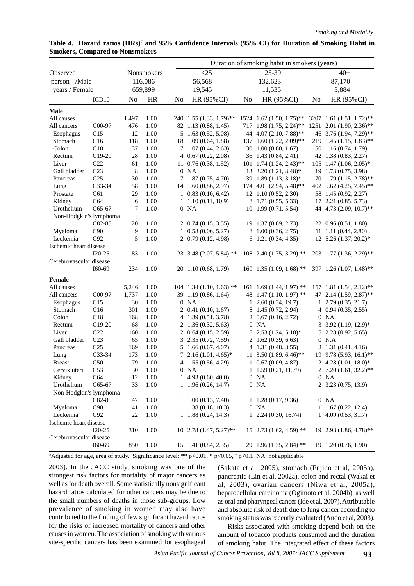|                         |                     |          |            |                |                                |    | Duration of smoking habit in smokers (years) |    |                           |
|-------------------------|---------------------|----------|------------|----------------|--------------------------------|----|----------------------------------------------|----|---------------------------|
| Observed                |                     |          | Nonsmokers |                | <25                            |    | 25-39                                        |    | $40+$                     |
| person- /Male           |                     |          | 116,086    |                | 56,568                         |    | 132,623                                      |    | 87,170                    |
| years / Female          |                     |          | 659,899    |                | 19,545                         |    | 11,535                                       |    | 3,884                     |
|                         | ICD <sub>10</sub>   | $\rm No$ | HR         | N <sub>0</sub> | HR (95%CI)                     | No | HR (95%CI)                                   | No | HR (95%CI)                |
| <b>Male</b>             |                     |          |            |                |                                |    |                                              |    |                           |
| All causes              |                     | 1,497    | 1.00       |                | 240 1.55 (1.33, 1.79)**        |    | 1524 1.62 (1.50, 1.75)**                     |    | 3207 1.61 (1.51, 1.72)**  |
| All cancers             | C <sub>0</sub> 0-97 | 476      | 1.00       |                | 82 1.13 (0.88, 1.45)           |    | 717 1.98 (1.75, 2.24)**                      |    | 1251 2.01 (1.90, 2.36)**  |
| Esophagus               | C15                 | 12       | 1.00       |                | $5\;1.63\; (0.52, 5.08)$       |    | 44 4.07 (2.10, 7.88)**                       |    | 46 3.76 (1.94, 7.29)**    |
| Stomach                 | C16                 | 118      | 1.00       |                | 18 1.09 (0.64, 1.88)           |    | 137 1.60 (1.22, 2.09)**                      |    | 219 1.45 (1.15, 1.83)**   |
| Colon                   | C18                 | 37       | 1.00       |                | 7 1.07 (0.44, 2.63)            |    | 30 1.00 (0.60, 1.67)                         |    | 50 1.16 (0.74, 1.79)      |
| Rectum                  | $C19-20$            | 28       | 1.00       |                | $4\,0.67\,(0.22, 2.08)$        |    | 36 1.43 (0.84, 2.41)                         |    | 42 1.38 (0.83, 2.27)      |
| Liver                   | C <sub>22</sub>     | 61       | 1.00       |                | $11 \quad 0.76 \ (0.38, 1.52)$ |    | $101 \quad 1.74 \quad (1.24, 2.43)$ **       |    | 105 1.47 (1.06, 2.05)*    |
| Gall bladder            | C <sub>23</sub>     | 8        | 1.00       |                | $0$ NA                         |    | 13 3.20 (1.21, 8.48)*                        |    | 19 1.73 (0.75, 3.98)      |
| Pancreas                | C <sub>25</sub>     | 30       | 1.00       |                | $7\quad1.87\ (0.75, 4.70)$     |    | 39 1.89 (1.13, 3.18)*                        |    | 70 1.79 (1.15, 2.78)**    |
| Lung                    | C33-34              | 58       | 1.00       |                | 14 1.60 (0.86, 2.97)           |    | 174 4.01 (2.94, 5.48)**                      |    | 402 5.62 (4.25, 7.45)**   |
| Prostate                | C61                 | 29       | 1.00       |                | $1\; 0.83\; (0.10, 6.42)$      |    | 12 1.10 (0.52, 2.30)                         |    | 58 1.45 (0.92, 2.27)      |
| Kidney                  | C64                 | 6        | 1.00       |                | 1, 1.10(0.11, 10.9)            |    | 8 1.71 (0.55, 5.33)                          |    | 17 2.21 (0.85, 5.73)      |
| Urothelium              | $C65-67$            | 7        | 1.00       |                | $0$ NA                         |    | 10 1.99 (0.71, 5.54)                         |    | 44 4.73 (2.09, 10.7)**    |
| Non-Hodgkin's lymphoma  |                     |          |            |                |                                |    |                                              |    |                           |
|                         | C82-85              | 20       | 1.00       |                | 2 $0.74(0.15, 3.55)$           |    | 19 1.37 (0.69, 2.73)                         |    | 22 0.96 (0.51, 1.80)      |
| Myeloma                 | C90                 | 9        | 1.00       |                | $1\; 0.58\; (0.06, 5.27)$      |    | 8 1.00 (0.36, 2.75)                          |    | 11 1.11 (0.44, 2.80)      |
| Leukemia                | C92                 | 5        | 1.00       |                | 2 0.79 (0.12, 4.98)            |    | $6$ 1.21 $(0.34, 4.35)$                      |    | 12 5.26 (1.37, 20.2)*     |
| Ischemic heart disease  |                     |          |            |                |                                |    |                                              |    |                           |
|                         | $I20-25$            | 83       | 1.00       |                | 23 3.48 (2.07, 5.84) **        |    | 108 2.40 $(1.75, 3.29)$ **                   |    | 203 1.77 (1.36, 2.29)**   |
| Cerebrovascular disease |                     |          |            |                |                                |    |                                              |    |                           |
|                         | I60-69              | 234      | 1.00       |                | 20 1.10 (0.68, 1.79)           |    | $169$ 1.35 (1.09, 1.68) **                   |    | 397 1.26 (1.07, 1.48)**   |
| <b>Female</b>           |                     |          |            |                |                                |    |                                              |    |                           |
| All causes              |                     | 5,246    | 1.00       |                | $104$ 1.34 (1.10, 1.63) **     |    | 161 1.69 $(1.44, 1.97)$ **                   |    | 157 1.81 (1.54, 2.12)**   |
| All cancers             | C <sub>0</sub> 0-97 | 1,737    | 1.00       |                | 39 1.19 (0.86, 1.64)           |    | 48 1.47 (1.10, 1.97) **                      |    | 47 2.14 (1.59, 2.87)**    |
| Esophagus               | C15                 | 30       | 1.00       |                | $0$ NA                         |    | $1, 2.60$ (0.34, 19.7)                       |    | $1, 2.79$ $(0.35, 21.7)$  |
| Stomach                 | C16                 | 301      | 1.00       |                | $2$ 0.41 (0.10, 1.67)          |    | 8 1.45 (0.72, 2.94)                          |    | $4\,0.94\,(0.35, 2.55)$   |
| Colon                   | C18                 | 168      | 1.00       |                | 4 1.39 (0.51, 3.78)            |    | $2\; 0.67\; (0.16, 2.72)$                    |    | $0$ NA                    |
| Rectum                  | $C19-20$            | 68       | 1.00       |                | 2 1.36 (0.32, 5.63)            |    | $0$ NA                                       |    | $3\,3.92\,(1.19, 12.9)^*$ |
| Liver                   | C22                 | 160      | 1.00       |                | $2\; 0.64\; (0.15, 2.59)$      |    | 8 2.53 (1.24, 5.18)*                         |    | $5\,2.28\,(0.92, 5.65)^+$ |
| Gall bladder            | C <sub>23</sub>     | 65       | 1.00       |                | 3 2.35 (0.72, 7.59)            |    | $2\;1.62\; (0.39, 6.63)$                     |    | $0$ N.A                   |
| Pancreas                | C <sub>25</sub>     | 169      | 1.00       |                | $5\quad1.66(0.67, 4.07)$       |    | 4 1.31 (0.48, 3.55)                          |    | $3\quad 1.31(0.41, 4.16)$ |
| Lung                    | C33-34              | 173      | 1.00       |                | $7\;2.16\,(1.01, 4.65)^*$      |    | 11 3.50 $(1.89, 6.46)$ **                    |    | 19 9.78 (5.93, 16.1)**    |
| <b>Breast</b>           | C50                 | 79       | 1.00       |                | 4 1.55 (0.56, 4.29)            |    | $1\; 0.67\; (0.09, 4.87)$                    |    | 2 4.28 $(1.01, 18.0)^*$   |
| Cervix uteri            | C53                 | $30\,$   | 1.00       |                | $0$ NA                         |    | $1\quad1.59(0.21, 11.79)$                    |    | 2 7.20 (1.61, 32.2)**     |
| Kidney                  | C64                 | 12       | 1.00       |                | 14.93(0.60, 40.0)              |    | $0$ NA                                       |    | $0$ NA                    |
| Urothelium              | C65-67              | 33       | 1.00       |                | $1\quad1.96(0.26, 14.7)$       |    | $0$ NA                                       |    | 2 3.23 (0.75, 13.9)       |
| Non-Hodgkin's lymphoma  |                     |          |            |                |                                |    |                                              |    |                           |
|                         | C82-85              | 47       | 1.00       |                | $1, 1.00$ $(0.13, 7.40)$       |    | $1\; 1.28\; (0.17, 9.36)$                    |    | $0$ NA                    |
| Myeloma                 | C90                 | 41       | 1.00       |                | $1\quad1.38(0.18, 10.3)$       |    | $0$ NA                                       |    | $1\;1.67\; (0.22, 12.4)$  |
| Leukemia                | C92                 | 22       | 1.00       |                | $1\quad1.88(0.24, 14.3)$       |    | $1, 2.24$ (0.30, 16.74)                      |    | 14.09(0.53, 31.7)         |
| Ischemic heart disease  | $I20-25$            | 310      | 1.00       |                | $10\;2.78\;(1.47, 5.27)$ **    |    | 15 2.73 $(1.62, 4.59)$ **                    |    | 19 2.98 (1.86, 4.78)**    |
| Cerebrovascular disease |                     |          |            |                |                                |    |                                              |    |                           |
|                         | $I60-69$            | 850      | 1.00       |                | 15 1.41 (0.84, 2.35)           |    | 29 1.96 (1.35, 2.84) **                      |    | 19 1.20 (0.76, 1.90)      |
|                         |                     |          |            |                |                                |    |                                              |    |                           |

Table 4. Hazard ratios (HRs)<sup>#</sup> and 95% Confidence Intervals (95% CI) for Duration of Smoking Habit in **Smokers, Compared to Nonsmokers**

# Adjusted for age, area of study. Significance level: \*\* p<0.01, \* p<0.05, + p<0.1 NA: not applicable

2003). In the JACC study, smoking was one of the strongest risk factors for mortality of major cancers as well as for death overall. Some statistically nonsignificant hazard ratios calculated for other cancers may be due to the small numbers of deaths in those sub-groups. Low prevalence of smoking in women may also have contributed to the finding of few significant hazard ratios for the risks of increased mortality of cancers and other causes in women. The association of smoking with various site-specific cancers has been examined for esophageal

(Sakata et al, 2005), stomach (Fujino et al, 2005a), pancreatic (Lin et al, 2002a), colon and rectal (Wakai et al, 2003), ovarian cancers (Niwa et al, 2005a), hepatocellular carcinoma (Ogimoto et al, 2004b), as well as oral and pharyngeal cancer (Ide et al, 2007). Attributable and absolute risk of death due to lung cancer according to smoking status was recently evaluated (Ando et al, 2003).

Risks associated with smoking depend both on the amount of tobacco products consumed and the duration of smoking habit. The integrated effect of these factors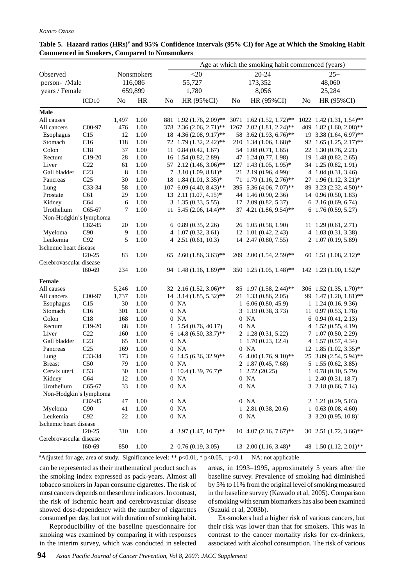| Age at which the smoking habit commenced (years) |                     |                |            |    |                                      |                |                                      |                |                                |
|--------------------------------------------------|---------------------|----------------|------------|----|--------------------------------------|----------------|--------------------------------------|----------------|--------------------------------|
| Observed                                         |                     |                | Nonsmokers |    | $<$ 20                               |                | 20-24                                |                | $25+$                          |
| person- /Male                                    |                     |                | 116,086    |    | 55,727                               |                | 173,352                              |                | 48,060                         |
| years / Female                                   |                     |                | 659,899    |    | 1,780                                |                | 8,056                                |                | 25,284                         |
|                                                  | ICD <sub>10</sub>   | N <sub>o</sub> | <b>HR</b>  | No | HR (95%CI)                           | N <sub>0</sub> | HR (95%CI)                           | N <sub>0</sub> | HR (95%CI)                     |
| Male                                             |                     |                |            |    |                                      |                |                                      |                |                                |
| All causes                                       |                     | 1,497          | 1.00       |    | 881 1.92 (1.76, 2.09)**              |                | 3071 1.62 (1.52, 1.72)**             |                | 1022 1.42 (1.31, 1.54)**       |
| All cancers                                      | C <sub>0</sub> 0-97 | 476            | 1.00       |    | 378 2.36 (2.06, 2.71)**              |                | 1267 2.02 (1.81, 2.24)**             |                | 409 1.82 (1.60, 2.08)**        |
| Esophagus                                        | C15                 | 12             | 1.00       |    | 18 4.36 (2.08, 9.17)**               |                | 58 3.62 (1.93, 6.76)**               |                | 19 3.38 $(1.64, 6.97)$ **      |
| Stomach                                          | C16                 | 118            | 1.00       |    | 72 1.79 (1.32, 2.42)**               |                | 210 1.34 (1.06, 1.68)*               |                | 92 1.65 (1.25, 2.17)**         |
| Colon                                            | C18                 | 37             | 1.00       |    | $11 \quad 0.84 \ (0.42, 1.67)$       |                | 54 1.08 (0.71, 1.65)                 |                | 22 1.30 (0.76, 2.21)           |
| Rectum                                           | $C19-20$            | 28             | 1.00       |    | 16 1.54 (0.82, 2.89)                 |                | 47 1.24 (0.77, 1.98)                 |                | 19 1.48 (0.82, 2.65)           |
| Liver                                            | C <sub>22</sub>     | 61             | 1.00       |    | 57 2.12 (1.46, 3.06)**               |                | $127$ 1.43 (1.05, 1.95)*             |                | 34 1.25 (0.82, 1.91)           |
| Gall bladder                                     | C <sub>23</sub>     | 8              | 1.00       |    | 7 3.10 $(1.09, 8.81)^*$              |                | $21 \quad 2.19 \quad (0.96, 4.99)^+$ |                | $4\quad1.04\ (0.31, 3.46)$     |
| Pancreas                                         | C <sub>25</sub>     | 30             | 1.00       |    | 18 1.84 (1.01, 3.35)*                |                | 71 1.79 (1.16, 2.76)**               |                | 27 1.96 (1.12, 3.21)*          |
| Lung                                             | C33-34              | 58             | 1.00       |    | 107 6.09 (4.40, 8.43)**              |                | 395 5.36 (4.06, 7.07)**              |                | 89 3.23 (2.32, 4.50)**         |
| Prostate                                         | C61                 | 29             | 1.00       |    | $13 \quad 2.11 \quad (1.07, 4.15)^*$ |                | 44 1.46 (0.90, 2.36)                 |                | 14 0.96 (0.50, 1.83)           |
| Kidney                                           | C64                 | 6              | 1.00       |    | $3\quad 1.35 \ (0.33, 5.55)$         |                | $17, 2.09$ $(0.82, 5.37)$            |                | 62.16(0.69, 6.74)              |
| Urothelium                                       | C65-67              | 7              | 1.00       |    | 11 5.45 (2.06, 14.4)**               |                | 37 4.21 (1.86, 9.54)**               |                | $6$ 1.76 (0.59, 5.27)          |
| Non-Hodgkin's lymphoma                           |                     |                |            |    |                                      |                |                                      |                |                                |
|                                                  | C82-85              | 20             | 1.00       |    | $6\,0.89\,(0.35, 2.26)$              |                | 26 1.05 (0.58, 1.90)                 |                | $11 \quad 1.29 \ (0.61, 2.71)$ |
| Myeloma                                          | C90                 | 9              | 1.00       |    | 4 1.07 (0.32, 3.61)                  |                | 12 1.01 (0.42, 2.43)                 |                | 4 1.03 (0.31, 3.38)            |
| Leukemia                                         | C92                 | 5              | 1.00       |    | $4\,2.51\,(0.61, 10.3)$              |                | 14 2.47 (0.80, 7.55)                 |                | 2 1.07 (0.19, 5.89)            |
| Ischemic heart disease                           |                     |                |            |    |                                      |                |                                      |                |                                |
|                                                  | $I20-25$            | 83             | 1.00       |    | 65 2.60 $(1.86, 3.63)$ **            |                | 209 2.00 (1.54, 2.59)**              |                | 60 1.51 $(1.08, 2.12)^*$       |
| Cerebrovascular disease                          |                     |                |            |    |                                      |                |                                      |                |                                |
|                                                  | I60-69              | 234            | 1.00       |    | 94 1.48 (1.16, 1.89)**               |                | 350 1.25 (1.05, 1.48)**              |                | 142 1.23 (1.00, 1.52)*         |
| <b>Female</b>                                    |                     |                |            |    |                                      |                |                                      |                |                                |
| All causes                                       |                     | 5,246          | 1.00       |    | 32 2.16 (1.52, 3.06)**               |                | 85 1.97 $(1.58, 2.44)$ **            |                | 306 1.52 (1.35, 1.70)**        |
| All cancers                                      | C00-97              | 1,737          | 1.00       |    | 14 3.14 (1.85, 5.32)**               |                | 21 1.33 (0.86, 2.05)                 |                | 99 1.47 (1.20, 1.81)**         |
| Esophagus                                        | C15                 | 30             | 1.00       |    | $0$ NA                               |                | $1, 6.06$ $(0.80, 45.9)$             |                | $1\; 1.24\; (0.16, 9.36)$      |
| Stomach                                          | C16                 | 301            | 1.00       |    | $0$ NA                               |                | $3\quad 1.19 \ (0.38, 3.73)$         |                | $11$ 0.97 (0.53, 1.78)         |
| Colon                                            | C18                 | 168            | 1.00       |    | $0$ NA                               |                | $0$ NA                               |                | $6\,0.94\,(0.41, 2.13)$        |
| Rectum                                           | $C19-20$            | 68             | 1.00       |    | $1\quad 5.54\ (0.76, 40.17)$         |                | $0$ NA                               |                | $4\quad1.52(0.55, 4.19)$       |
| Liver                                            | C22                 | 160            | 1.00       |    | 6 14.8 (6.50, 33.7)**                |                | 2 1.28 (0.31, 5.22)                  |                | 7 1.07 (0.50, 2.29)            |
| Gall bladder                                     | C <sub>23</sub>     | 65             | 1.00       |    | $0$ NA                               |                | $1\quad1.70\ (0.23, 12.4)$           |                | $4\quad 1.57(0.57, 4.34)$      |
| Pancreas                                         | C <sub>25</sub>     | 169            | 1.00       |    | $0$ NA                               |                | $0$ NA                               |                | 12 1.85 (1.02, 3.35)*          |
| Lung                                             | C33-34              | 173            | 1.00       |    | $6\quad14.5\ (6.36, 32.9)$ **        |                | 6 4.00 $(1.76, 9.10)$ **             |                | 25 3.89 (2.54, 5.94)**         |
| <b>Breast</b>                                    | C50                 | 79             | 1.00       |    | $0$ NA                               |                | 2 1.87 (0.45, 7.68)                  |                | $5\;1.55\; (0.62, 3.85)$       |
| Cervix uteri                                     | C53                 | $30\,$         | 1.00       |    | $1\; 10.4\; (1.39, 76.7)^*$          |                | 1, 2.72(20.25)                       |                | $1\; 0.78\; (0.10, 5.79)$      |
| Kidney                                           | C64                 | 12             | 1.00       |    | $0$ NA                               |                | $0$ NA                               |                | $1, 2.40$ (0.31, 18.7)         |
| Urothelium                                       | C65-67              | 33             | 1.00       |    | $0$ NA                               |                | $0$ NA                               |                | $3\,2.18\,(0.66, 7.14)$        |
| Non-Hodgkin's lymphoma                           |                     |                |            |    |                                      |                |                                      |                |                                |
|                                                  | C82-85              | 47             | 1.00       |    | $0$ NA                               |                | $0$ NA                               |                | $2\; 1.21\; (0.29, 5.03)$      |
| Myeloma                                          | C90                 | 41             | 1.00       |    | $0$ NA                               |                | $1, 2.81$ $(0.38, 20.6)$             |                | $1\quad0.63(0.08, 4.60)$       |
| Leukemia                                         | C92                 | 22             | 1.00       |    | $0$ NA                               |                | $0$ NA                               |                | $3\,3.20\,(0.95, 10.8)^+$      |
| Ischemic heart disease                           |                     |                |            |    |                                      |                |                                      |                | 30 2.51 $(1.72, 3.66)$ **      |
| Cerebrovascular disease                          | $I20-25$            | 310            | 1.00       |    | 4 3.97 $(1.47, 10.7)$ **             |                | $10\; 4.07\; (2.16, 7.67)^{**}$      |                |                                |
|                                                  | $I60-69$            | 850            | 1.00       |    | $2\; 0.76\; (0.19, 3.05)$            |                | 13 2.00 (1.16, 3.48)*                |                | 48 1.50 (1.12, 2.01)**         |

# **Table 5. Hazard ratios (HRs)# and 95% Confidence Intervals (95% CI) for Age at Which the Smoking Habit Commenced in Smokers, Compared to Nonsmokers**

# Adjusted for age, area of study. Significance level: \*\* p<0.01, \* p<0.05, + p<0.1 NA: not applicable

can be represented as their mathematical product such as the smoking index expressed as pack-years. Almost all tobacco smokers in Japan consume cigarettes. The risk of most cancers depends on these three indicators. In contrast, the risk of ischemic heart and cerebrovascular disease showed dose-dependency with the number of cigarettes consumed per day, but not with duration of smoking habit.

areas, in 1993–1995, approximately 5 years after the baseline survey. Prevalence of smoking had diminished by 5% to 11% from the original level of smoking measured in the baseline survey (Kawado et al, 2005). Comparison of smoking with serum biomarkers has also been examined (Suzuki et al, 2003b).

Reproducibility of the baseline questionnaire for smoking was examined by comparing it with responses in the interim survey, which was conducted in selected

Ex-smokers had a higher risk of various cancers, but their risk was lower than that for smokers. This was in contrast to the cancer mortality risks for ex-drinkers, associated with alcohol consumption. The risk of various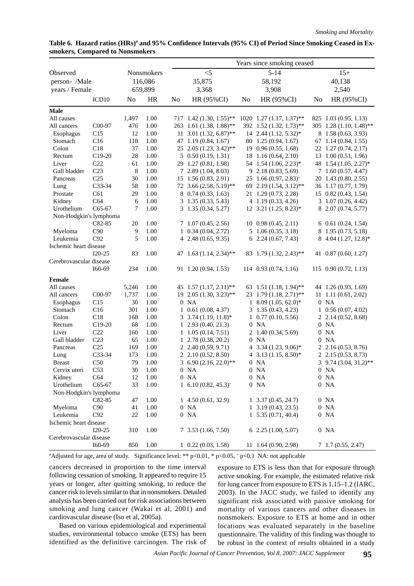|                         |                     |           |              |    |                                                     |    | Years since smoking ceased           |                |                                     |
|-------------------------|---------------------|-----------|--------------|----|-----------------------------------------------------|----|--------------------------------------|----------------|-------------------------------------|
| Observed                |                     |           | Nonsmokers   |    | $<$ 5                                               |    | $5 - 14$                             |                | $15+$                               |
| person- /Male           |                     |           | 116,086      |    | 35,875                                              |    | 58,192                               |                | 40,138                              |
| years / Female          |                     |           | 659,899      |    | 3,368                                               |    | 3,908                                |                | 2,540                               |
|                         | ICD <sub>10</sub>   | No        | <b>HR</b>    | No | HR (95%CI)                                          | No | HR (95%CI)                           | N <sub>0</sub> | HR (95%CI)                          |
| <b>Male</b>             |                     |           |              |    |                                                     |    |                                      |                |                                     |
| All causes              |                     | 1,497     | 1.00         |    | 717 1.42 (1.30, 1.55)**                             |    | 1020 1.27 (1.17, 1.37)**             |                | 825 1.03 (0.95, 1.13)               |
| All cancers             | C <sub>0</sub> 0-97 | 476       | 1.00         |    | 263 1.61 (1.38, 1.88)**                             |    | 392 1.52 (1.32, 1.73)**              |                | 305 1.28 (1.10, 1.48)**             |
| Esophagus               | C15                 | 12        | 1.00         |    | 11 3.01 (1.32, 6.87)**                              |    | $14$ 2.44 $(1.12, 5.32)^*$           |                | 8 1.58 (0.63, 3.93)                 |
| Stomach                 | C16                 | 118       | 1.00         |    | 47 1.19 (0.84, 1.67)                                |    | 80 1.25 (0.94, 1.67)                 |                | 67 1.14 (0.84, 1.55)                |
| Colon                   | C18                 | 37        | 1.00         |    | 25 2.05 (1.23, 3.42)**                              |    | $19 \t0.96(0.55, 1.68)$              |                | 22 1.27 (0.74, 2.17)                |
| Rectum                  | $C19-20$            | 28        | 1.00         |    | $5\; 0.50\; (0.19, 1.31)$                           |    | 18 1.16 (0.64, 2.10)                 |                | 13 1.00 (0.51, 1.96)                |
| Liver                   | C <sub>22</sub>     | 61        | 1.00         |    | 29 1.27 (0.81, 1.98)                                |    | 54 1.54 (1.06, 2.23)*                |                | 48 1.54 (1.05, 2.27)*               |
| Gall bladder            | C <sub>23</sub>     | 8         | 1.00         |    | $7\,2.89\,(1.04, 8.03)$                             |    | $9\;2.18\; (0.83, 5.69)$             |                | $7\;1.60\; (0.57, 4.47)$            |
| Pancreas                | C <sub>25</sub>     | 30        | 1.00         |    | 15 1.56 (0.83, 2.91)                                |    | 25 1.66 (0.97, 2.83) <sup>+</sup>    |                | 20 1.43 (0.80, 2.55)                |
| Lung                    | C33-34              | 58        | 1.00         |    | 72 3.66 (2.58, 5.19)**                              |    | 69 2.19 (1.54, 3.12)**               |                | 36 1.17 (0.77, 1.79)                |
| Prostate                | C61                 | 29        | 1.00         |    | 8 0.74 (0.33, 1.63)                                 |    | 21 1.29 (0.73, 2.28)                 |                | 15 0.82 (0.43, 1.54)                |
| Kidney                  | C64                 | 6         | 1.00         |    | $3\quad 1.35 \ (0.33, 5.43)$                        |    | $4\quad 1.19\ (0.33, 4.26)$          |                | $3\quad1.07\ (0.26, 4.42)$          |
| Urothelium              | C65-67              | 7         | 1.00         |    | $3\quad1.35\ (0.34, 5.27)$                          |    | $12 \quad 3.21 \quad (1.25, 8.23)^*$ |                | 8 2.07 (0.74, 5.77)                 |
| Non-Hodgkin's lymphoma  |                     |           |              |    |                                                     |    |                                      |                |                                     |
|                         | C82-85              | 20        | 1.00         |    | $7\;1.07\; (0.45, 2.56)$                            |    | $10\; 0.98\; (0.45, 2.11)$           |                | $6\,0.61\,(0.24, 1.54)$             |
| Myeloma                 | C90                 | 9         | 1.00         |    | $1\; 0.34\; (0.04, 2.72)$                           |    | $5\quad1.06\ (0.35, 3.18)$           |                | 8 1.95 (0.73, 5.18)                 |
| Leukemia                | C92                 | 5         | 1.00         |    | $4\quad2.48\ (0.65, 9.35)$                          |    | $6\,2.24\,(0.67, 7.43)$              |                | 8 4.04 (1.27, 12.8)*                |
| Ischemic heart disease  |                     |           |              |    |                                                     |    |                                      |                |                                     |
|                         | $I20-25$            | 83        | 1.00         |    | 47 1.63 (1.14, 2.34)**                              |    | 83 1.79 (1.32, 2.43)**               |                | 41 0.87 (0.60, 1.27)                |
| Cerebrovascular disease |                     |           |              |    |                                                     |    |                                      |                |                                     |
|                         | I60-69              | 234       | 1.00         |    | 91 1.20 (0.94, 1.53)                                |    | $114$ 0.93 (0.74, 1.16)              |                | 115 0.90 (0.72, 1.13)               |
| Female                  |                     |           |              |    |                                                     |    |                                      |                |                                     |
| All causes              |                     | 5,246     | 1.00         |    | 45 1.57 $(1.17, 2.11)$ <sup>**</sup>                |    | 63 1.51 (1.18, 1.94)**               |                | 44 1.26 (0.93, 1.69)                |
| All cancers             | C <sub>0</sub> 0-97 | 1,737     | 1.00         |    | $19\ 2.05\ (1.30, 3.23)$ **                         |    | 23 1.79 (1.18, 2.71)**               |                | $11 \quad 1.11 \quad (0.61, 2.02)$  |
| Esophagus               | C15                 | 30        | 1.00         |    | $0$ NA                                              |    | $1\;8.09\;(1.05, 62.0)^*$            |                | $0$ NA                              |
| Stomach                 | C16<br>C18          | 301       | 1.00         |    | $1\; 0.61\; (0.08, 4.37)$                           |    | $3\quad 1.35 \ (0.43, 4.23)$         |                | $1\; 0.56\; (0.07, 4.02)$           |
| Colon<br>Rectum         | $C19-20$            | 168<br>68 | 1.00<br>1.00 |    | $3\,3.74\,(1.19, 11.8)^*$                           |    | $1\; 0.77\; (0.10, 5.56)$<br>$0$ NA  |                | $2\; 2.14\; (0.52, 8.68)$<br>$0$ NA |
| Liver                   | C22                 | 160       | 1.00         |    | $1\,2.93\,(0.40, 21.3)$<br>$1, 1.05$ $(0.14, 7.51)$ |    | 2 1.40 (0.34, 5.69)                  |                | $0$ NA                              |
| Gall bladder            | C <sub>23</sub>     | 65        | 1.00         |    | $1, 2.78$ $(0.38, 20.2)$                            |    | $0$ NA                               |                | $0$ NA                              |
| Pancreas                | C <sub>25</sub>     | 169       | 1.00         |    | 2, 2.40(0.59, 9.71)                                 |    | 4 3.34 $(1.23, 9.06)^*$              |                | $2\;2.16\,(0.53, 8.76)$             |
| Lung                    | C33-34              | 173       | 1.00         |    | $2\;2.10\,(0.52, 8.50)$                             |    | 4 3.13 $(1.15, 8.50)^*$              |                | 2 2.15 (0.53, 8.73)                 |
| <b>Breast</b>           | C50                 | 79        | 1.00         |    | $3, 6.90 (2.16, 22.0)$ **                           |    | $0$ NA                               |                | 3 9.74 (3.04, 31.2)**               |
| Cervix uteri            | C53                 | $30\,$    | 1.00         |    | $0$ NA                                              |    | $0$ NA                               |                | $0$ NA                              |
| Kidney                  | C64                 | 12        | 1.00         |    | $0$ NA                                              |    | $0$ NA                               |                | $0$ NA                              |
| Urothelium              | C65-67              | 33        | 1.00         |    | 1 6.10 $(0.82, 45.3)^+$                             |    | $0$ NA                               |                | $0$ NA                              |
| Non-Hodgkin's lymphoma  |                     |           |              |    |                                                     |    |                                      |                |                                     |
|                         | C82-85              | 47        | 1.00         |    | 14.50(0.61, 32.9)                                   |    | $1, 3.37$ $(0.45, 24.7)$             |                | $0$ NA                              |
| Myeloma                 | C90                 | 41        | 1.00         |    | $0$ NA                                              |    | $1\,3.19\,(0.43, 23.5)$              |                | $0$ NA                              |
| Leukemia                | C92                 | 22        | 1.00         |    | $0$ NA                                              |    | $1\quad 5.35(0.71, 40.4)$            |                | $0$ NA                              |
| Ischemic heart disease  |                     |           |              |    |                                                     |    |                                      |                |                                     |
|                         | $I20-25$            | 310       | 1.00         |    | $7\,3.53\,(1.66, 7.50)$                             |    | $6$ 2.25 (1.00, 5.07)                |                | $0$ NA                              |
| Cerebrovascular disease |                     |           |              |    |                                                     |    |                                      |                |                                     |
|                         | $I60-69$            | 850       | 1.00         |    | $1\; 0.22\; (0.03, 1.58)$                           |    | $11 \quad 1.64 \quad (0.90, 2.98)$   |                | $7\;1.7\; (0.55, 2.47)$             |

# Table 6. Hazard ratios (HRs)# and 95% Confidence Intervals (95% CI) of Period Since Smoking Ceased in Ex**smokers, Compared to Nonsmokers**

# Adjusted for age, area of study. Significance level: \*\* p<0.01, \* p<0.05, + p<0.1 NA: not applicable

cancers decreased in proportion to the time interval following cessation of smoking. It appeared to require 15 years or longer, after quitting smoking, to reduce the cancer risk to levels similar to that in nonsmokers. Detailed analysis has been carried out for risk associations between smoking and lung cancer (Wakai et al, 2001) and cardiovascular disease (Iso et al, 2005a).

Based on various epidemiological and experimental studies, environmental tobacco smoke (ETS) has been identified as the definitive carcinogen. The risk of exposure to ETS is less than that for exposure through active smoking. For example, the estimated relative risk for lung cancer from exposure to ETS is 1.15–1.2 (IARC, 2003). In the JACC study, we failed to identify any significant risk associated with passive smoking for mortality of various cancers and other diseases in nonsmokers. Exposure to ETS at home and in other locations was evaluated separately in the baseline questionnaire. The validity of this finding was thought to be robust in the context of results obtained in a study